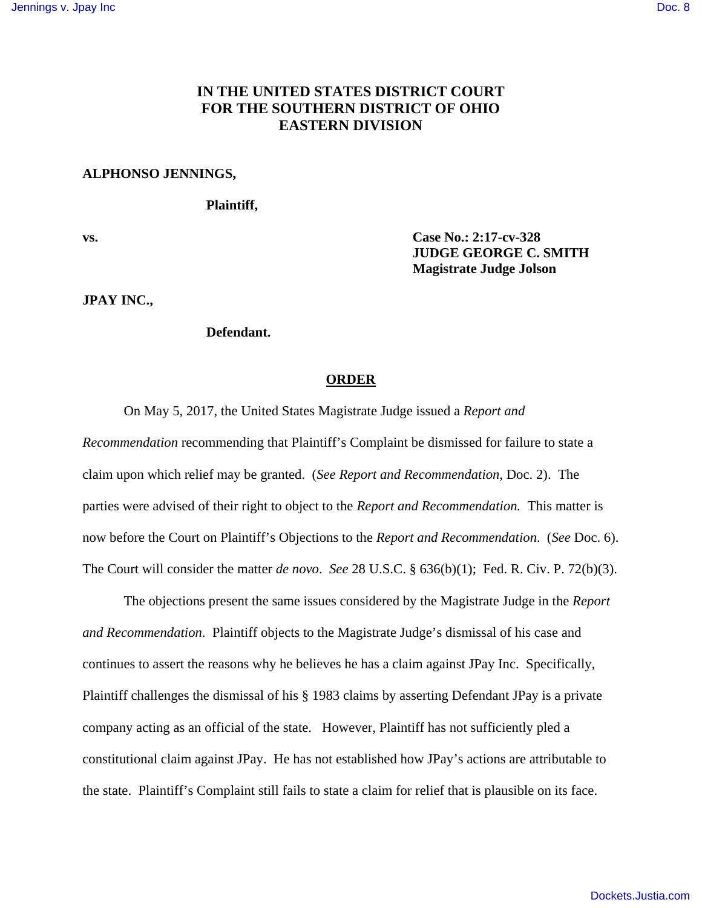# **IN THE UNITED STATES DISTRICT COURT FOR THE SOUTHERN DISTRICT OF OHIO EASTERN DIVISION**

### **ALPHONSO JENNINGS,**

## **Plaintiff,**

**vs. Case No.: 2:17-cv-328 JUDGE GEORGE C. SMITH Magistrate Judge Jolson**

**JPAY INC.,** 

## **Defendant.**

### **ORDER**

On May 5, 2017, the United States Magistrate Judge issued a *Report and* 

*Recommendation* recommending that Plaintiff's Complaint be dismissed for failure to state a claim upon which relief may be granted. (*See Report and Recommendation*, Doc. 2). The parties were advised of their right to object to the *Report and Recommendation.* This matter is now before the Court on Plaintiff's Objections to the *Report and Recommendation*. (*See* Doc. 6). The Court will consider the matter *de novo*. *See* 28 U.S.C. § 636(b)(1); Fed. R. Civ. P. 72(b)(3).

 The objections present the same issues considered by the Magistrate Judge in the *Report and Recommendation*. Plaintiff objects to the Magistrate Judge's dismissal of his case and continues to assert the reasons why he believes he has a claim against JPay Inc. Specifically, Plaintiff challenges the dismissal of his § 1983 claims by asserting Defendant JPay is a private company acting as an official of the state. However, Plaintiff has not sufficiently pled a constitutional claim against JPay. He has not established how JPay's actions are attributable to the state. Plaintiff's Complaint still fails to state a claim for relief that is plausible on its face.